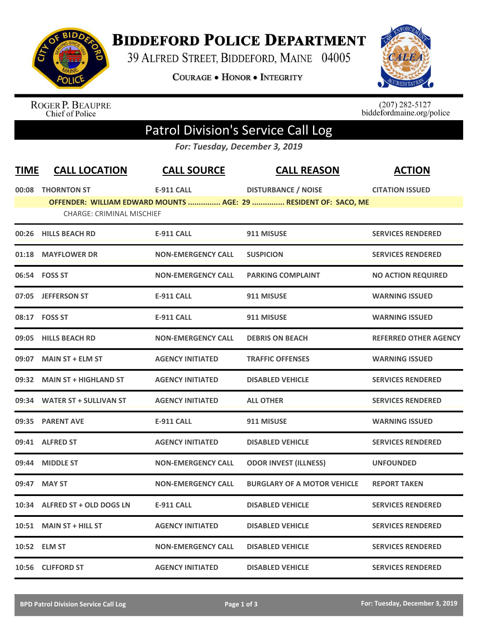

## **BIDDEFORD POLICE DEPARTMENT**

39 ALFRED STREET, BIDDEFORD, MAINE 04005

**COURAGE . HONOR . INTEGRITY** 



ROGER P. BEAUPRE<br>Chief of Police

 $(207)$  282-5127<br>biddefordmaine.org/police

## Patrol Division's Service Call Log

*For: Tuesday, December 3, 2019*

| <b>TIME</b> | <b>CALL LOCATION</b>             | <b>CALL SOURCE</b>        | <b>CALL REASON</b>                                                                            | <b>ACTION</b>                |
|-------------|----------------------------------|---------------------------|-----------------------------------------------------------------------------------------------|------------------------------|
|             | 00:08 THORNTON ST                | <b>E-911 CALL</b>         | <b>DISTURBANCE / NOISE</b><br>OFFENDER: WILLIAM EDWARD MOUNTS  AGE: 29  RESIDENT OF: SACO, ME | <b>CITATION ISSUED</b>       |
|             | <b>CHARGE: CRIMINAL MISCHIEF</b> |                           |                                                                                               |                              |
|             | 00:26 HILLS BEACH RD             | <b>E-911 CALL</b>         | 911 MISUSE                                                                                    | <b>SERVICES RENDERED</b>     |
|             | 01:18 MAYFLOWER DR               | <b>NON-EMERGENCY CALL</b> | <b>SUSPICION</b>                                                                              | <b>SERVICES RENDERED</b>     |
|             | 06:54 FOSS ST                    | <b>NON-EMERGENCY CALL</b> | <b>PARKING COMPLAINT</b>                                                                      | <b>NO ACTION REQUIRED</b>    |
|             | 07:05 JEFFERSON ST               | <b>E-911 CALL</b>         | 911 MISUSE                                                                                    | <b>WARNING ISSUED</b>        |
|             | 08:17 FOSS ST                    | <b>E-911 CALL</b>         | 911 MISUSE                                                                                    | <b>WARNING ISSUED</b>        |
|             | 09:05 HILLS BEACH RD             | <b>NON-EMERGENCY CALL</b> | <b>DEBRIS ON BEACH</b>                                                                        | <b>REFERRED OTHER AGENCY</b> |
|             | 09:07 MAIN ST + ELM ST           | <b>AGENCY INITIATED</b>   | <b>TRAFFIC OFFENSES</b>                                                                       | <b>WARNING ISSUED</b>        |
|             | 09:32 MAIN ST + HIGHLAND ST      | <b>AGENCY INITIATED</b>   | <b>DISABLED VEHICLE</b>                                                                       | <b>SERVICES RENDERED</b>     |
| 09:34       | <b>WATER ST + SULLIVAN ST</b>    | <b>AGENCY INITIATED</b>   | <b>ALL OTHER</b>                                                                              | <b>SERVICES RENDERED</b>     |
|             | 09:35 PARENT AVE                 | <b>E-911 CALL</b>         | 911 MISUSE                                                                                    | <b>WARNING ISSUED</b>        |
|             | 09:41 ALFRED ST                  | <b>AGENCY INITIATED</b>   | <b>DISABLED VEHICLE</b>                                                                       | <b>SERVICES RENDERED</b>     |
| 09:44       | <b>MIDDLE ST</b>                 | <b>NON-EMERGENCY CALL</b> | <b>ODOR INVEST (ILLNESS)</b>                                                                  | <b>UNFOUNDED</b>             |
| 09:47       | <b>MAY ST</b>                    | <b>NON-EMERGENCY CALL</b> | <b>BURGLARY OF A MOTOR VEHICLE</b>                                                            | <b>REPORT TAKEN</b>          |
| 10:34       | ALFRED ST + OLD DOGS LN          | <b>E-911 CALL</b>         | <b>DISABLED VEHICLE</b>                                                                       | <b>SERVICES RENDERED</b>     |
|             | 10:51 MAIN ST + HILL ST          | <b>AGENCY INITIATED</b>   | <b>DISABLED VEHICLE</b>                                                                       | <b>SERVICES RENDERED</b>     |
|             | 10:52 ELM ST                     | <b>NON-EMERGENCY CALL</b> | <b>DISABLED VEHICLE</b>                                                                       | <b>SERVICES RENDERED</b>     |
|             | 10:56 CLIFFORD ST                | <b>AGENCY INITIATED</b>   | <b>DISABLED VEHICLE</b>                                                                       | <b>SERVICES RENDERED</b>     |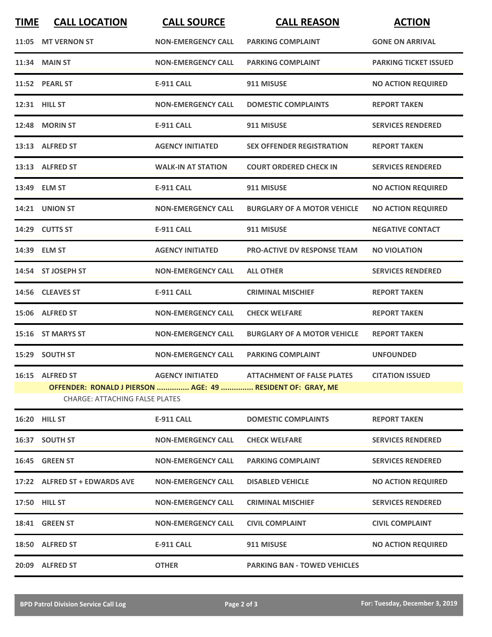| <b>TIME</b> | <b>CALL LOCATION</b>                                                                                | <b>CALL SOURCE</b>        | <b>CALL REASON</b>                  | <b>ACTION</b>                |
|-------------|-----------------------------------------------------------------------------------------------------|---------------------------|-------------------------------------|------------------------------|
|             | 11:05 MT VERNON ST                                                                                  | <b>NON-EMERGENCY CALL</b> | <b>PARKING COMPLAINT</b>            | <b>GONE ON ARRIVAL</b>       |
|             | <b>11:34 MAIN ST</b>                                                                                | <b>NON-EMERGENCY CALL</b> | <b>PARKING COMPLAINT</b>            | <b>PARKING TICKET ISSUED</b> |
|             | 11:52 PEARL ST                                                                                      | <b>E-911 CALL</b>         | 911 MISUSE                          | <b>NO ACTION REQUIRED</b>    |
|             | 12:31 HILL ST                                                                                       | <b>NON-EMERGENCY CALL</b> | <b>DOMESTIC COMPLAINTS</b>          | <b>REPORT TAKEN</b>          |
|             | 12:48 MORIN ST                                                                                      | <b>E-911 CALL</b>         | 911 MISUSE                          | <b>SERVICES RENDERED</b>     |
|             | 13:13 ALFRED ST                                                                                     | <b>AGENCY INITIATED</b>   | <b>SEX OFFENDER REGISTRATION</b>    | <b>REPORT TAKEN</b>          |
|             | 13:13 ALFRED ST                                                                                     | <b>WALK-IN AT STATION</b> | <b>COURT ORDERED CHECK IN</b>       | <b>SERVICES RENDERED</b>     |
|             | 13:49 ELM ST                                                                                        | <b>E-911 CALL</b>         | 911 MISUSE                          | <b>NO ACTION REQUIRED</b>    |
|             | 14:21 UNION ST                                                                                      | <b>NON-EMERGENCY CALL</b> | <b>BURGLARY OF A MOTOR VEHICLE</b>  | <b>NO ACTION REQUIRED</b>    |
|             | 14:29 CUTTS ST                                                                                      | <b>E-911 CALL</b>         | 911 MISUSE                          | <b>NEGATIVE CONTACT</b>      |
|             | 14:39 ELM ST                                                                                        | <b>AGENCY INITIATED</b>   | <b>PRO-ACTIVE DV RESPONSE TEAM</b>  | <b>NO VIOLATION</b>          |
|             | 14:54 ST JOSEPH ST                                                                                  | <b>NON-EMERGENCY CALL</b> | <b>ALL OTHER</b>                    | <b>SERVICES RENDERED</b>     |
|             | 14:56 CLEAVES ST                                                                                    | <b>E-911 CALL</b>         | <b>CRIMINAL MISCHIEF</b>            | <b>REPORT TAKEN</b>          |
|             | 15:06 ALFRED ST                                                                                     | <b>NON-EMERGENCY CALL</b> | <b>CHECK WELFARE</b>                | <b>REPORT TAKEN</b>          |
|             | 15:16 ST MARYS ST                                                                                   | <b>NON-EMERGENCY CALL</b> | <b>BURGLARY OF A MOTOR VEHICLE</b>  | <b>REPORT TAKEN</b>          |
|             | 15:29 SOUTH ST                                                                                      | <b>NON-EMERGENCY CALL</b> | <b>PARKING COMPLAINT</b>            | <b>UNFOUNDED</b>             |
|             | 16:15 ALFRED ST                                                                                     | <b>AGENCY INITIATED</b>   | <b>ATTACHMENT OF FALSE PLATES</b>   | <b>CITATION ISSUED</b>       |
|             | OFFENDER: RONALD J PIERSON  AGE: 49  RESIDENT OF: GRAY. ME<br><b>CHARGE: ATTACHING FALSE PLATES</b> |                           |                                     |                              |
|             | 16:20 HILL ST                                                                                       | <b>E-911 CALL</b>         | <b>DOMESTIC COMPLAINTS</b>          | <b>REPORT TAKEN</b>          |
|             | 16:37 SOUTH ST                                                                                      | <b>NON-EMERGENCY CALL</b> | <b>CHECK WELFARE</b>                | <b>SERVICES RENDERED</b>     |
|             | 16:45 GREEN ST                                                                                      | <b>NON-EMERGENCY CALL</b> | <b>PARKING COMPLAINT</b>            | <b>SERVICES RENDERED</b>     |
|             | 17:22 ALFRED ST + EDWARDS AVE                                                                       | <b>NON-EMERGENCY CALL</b> | <b>DISABLED VEHICLE</b>             | <b>NO ACTION REQUIRED</b>    |
|             | 17:50 HILL ST                                                                                       | <b>NON-EMERGENCY CALL</b> | <b>CRIMINAL MISCHIEF</b>            | <b>SERVICES RENDERED</b>     |
|             | 18:41 GREEN ST                                                                                      | <b>NON-EMERGENCY CALL</b> | <b>CIVIL COMPLAINT</b>              | <b>CIVIL COMPLAINT</b>       |
|             | 18:50 ALFRED ST                                                                                     | <b>E-911 CALL</b>         | 911 MISUSE                          | <b>NO ACTION REQUIRED</b>    |
|             | 20:09 ALFRED ST                                                                                     | <b>OTHER</b>              | <b>PARKING BAN - TOWED VEHICLES</b> |                              |